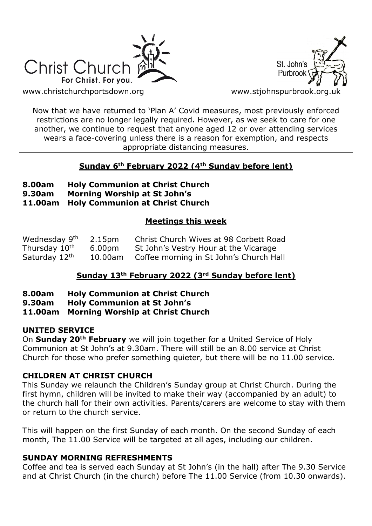



[www.christchurchportsdown.org](http://www.christchurchportsdown.org/) www.stjohnspurbrook.org

Now that we have returned to 'Plan A' Covid measures, most previously enforced restrictions are no longer legally required. However, as we seek to care for one another, we continue to request that anyone aged 12 or over attending services wears a face-covering unless there is a reason for exemption, and respects appropriate distancing measures.

## **Sunday 6th February 2022 (4th Sunday before lent)**

- **8.00am Holy Communion at Christ Church**
- **9.30am Morning Worship at St John's**

**11.00am Holy Communion at Christ Church**

## **Meetings this week**

| Wednesday 9th             | 2.15 <sub>pm</sub> | Christ Church Wives at 98 Corbett Road  |
|---------------------------|--------------------|-----------------------------------------|
| Thursday 10 <sup>th</sup> | 6.00 <sub>pm</sub> | St John's Vestry Hour at the Vicarage   |
| Saturday 12th             | 10.00am            | Coffee morning in St John's Church Hall |

## **Sunday 13th February 2022 (3rd Sunday before lent)**

- **8.00am Holy Communion at Christ Church**
- **9.30am Holy Communion at St John's**
- **11.00am Morning Worship at Christ Church**

## **UNITED SERVICE**

On **Sunday 20th February** we will join together for a United Service of Holy Communion at St John's at 9.30am. There will still be an 8.00 service at Christ Church for those who prefer something quieter, but there will be no 11.00 service.

## **CHILDREN AT CHRIST CHURCH**

This Sunday we relaunch the Children's Sunday group at Christ Church. During the first hymn, children will be invited to make their way (accompanied by an adult) to the church hall for their own activities. Parents/carers are welcome to stay with them or return to the church service.

This will happen on the first Sunday of each month. On the second Sunday of each month, The 11.00 Service will be targeted at all ages, including our children.

## **SUNDAY MORNING REFRESHMENTS**

Coffee and tea is served each Sunday at St John's (in the hall) after The 9.30 Service and at Christ Church (in the church) before The 11.00 Service (from 10.30 onwards).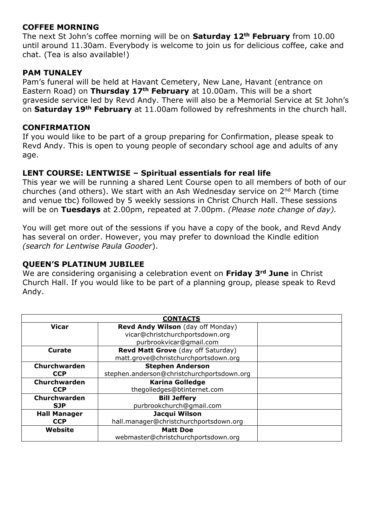### **COFFEE MORNING**

The next St John's coffee morning will be on **Saturday 12th February** from 10.00 until around 11.30am. Everybody is welcome to join us for delicious coffee, cake and chat. (Tea is also available!)

### **PAM TUNALEY**

Pam's funeral will be held at Havant Cemetery, New Lane, Havant (entrance on Eastern Road) on **Thursday 17th February** at 10.00am. This will be a short graveside service led by Revd Andy. There will also be a Memorial Service at St John's on **Saturday 19th February** at 11.00am followed by refreshments in the church hall.

#### **CONFIRMATION**

If you would like to be part of a group preparing for Confirmation, please speak to Revd Andy. This is open to young people of secondary school age and adults of any age.

## **LENT COURSE: LENTWISE – Spiritual essentials for real life**

This year we will be running a shared Lent Course open to all members of both of our churches (and others). We start with an Ash Wednesday service on 2nd March (time and venue tbc) followed by 5 weekly sessions in Christ Church Hall. These sessions will be on **Tuesdays** at 2.00pm, repeated at 7.00pm. *(Please note change of day).*

You will get more out of the sessions if you have a copy of the book, and Revd Andy has several on order. However, you may prefer to download the Kindle edition *(search for Lentwise Paula Gooder*).

#### **QUEEN'S PLATINUM JUBILEE**

We are considering organising a celebration event on **Friday 3rd June** in Christ Church Hall. If you would like to be part of a planning group, please speak to Revd Andy.

| <b>CONTACTS</b>     |                                            |  |  |
|---------------------|--------------------------------------------|--|--|
| <b>Vicar</b>        | Revd Andy Wilson (day off Monday)          |  |  |
|                     | vicar@christchurchportsdown.org            |  |  |
|                     | purbrookvicar@gmail.com                    |  |  |
| <b>Curate</b>       | Revd Matt Grove (day off Saturday)         |  |  |
|                     | matt.grove@christchurchportsdown.org       |  |  |
| Churchwarden        | <b>Stephen Anderson</b>                    |  |  |
| <b>CCP</b>          | stephen.anderson@christchurchportsdown.org |  |  |
| Churchwarden        | <b>Karina Golledge</b>                     |  |  |
| <b>CCP</b>          | thegolledges@btinternet.com                |  |  |
| Churchwarden        | <b>Bill Jeffery</b>                        |  |  |
| <b>SJP</b>          | purbrookchurch@gmail.com                   |  |  |
| <b>Hall Manager</b> | Jacqui Wilson                              |  |  |
| <b>CCP</b>          | hall.manager@christchurchportsdown.org     |  |  |
| Website             | <b>Matt Doe</b>                            |  |  |
|                     | webmaster@christchurchportsdown.org        |  |  |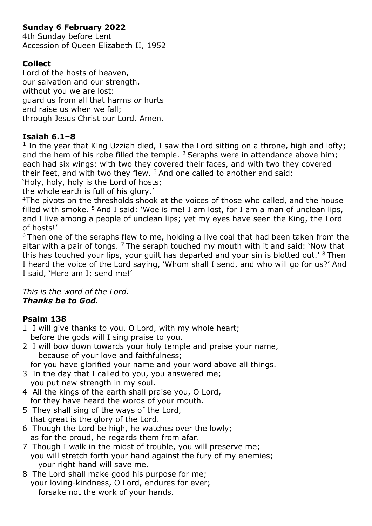# **Sunday 6 February 2022**

4th Sunday before Lent Accession of Queen Elizabeth II, 1952

## **Collect**

Lord of the hosts of heaven, our salvation and our strength, without you we are lost: guard us from all that harms *or* hurts and raise us when we fall; through Jesus Christ our Lord. Amen.

## **Isaiah 6.1–8**

**<sup>1</sup>** In the year that King Uzziah died, I saw the Lord sitting on a throne, high and lofty; and the hem of his robe filled the temple.  $2$  Seraphs were in attendance above him; each had six wings: with two they covered their faces, and with two they covered their feet, and with two they flew.  $3$  And one called to another and said:

'Holy, holy, holy is the Lord of hosts;

the whole earth is full of his glory.'

<sup>4</sup>The pivots on the thresholds shook at the voices of those who called, and the house filled with smoke.  $5$  And I said: 'Woe is me! I am lost, for I am a man of unclean lips, and I live among a people of unclean lips; yet my eyes have seen the King, the Lord of hosts!'

<sup>6</sup> Then one of the seraphs flew to me, holding a live coal that had been taken from the altar with a pair of tongs.  $7$  The seraph touched my mouth with it and said: 'Now that this has touched your lips, your quilt has departed and your sin is blotted out.<sup> $\alpha$ </sup> Then I heard the voice of the Lord saying, 'Whom shall I send, and who will go for us?' And I said, 'Here am I; send me!'

*This is the word of the Lord. Thanks be to God.*

## **Psalm 138**

- 1 I will give thanks to you, O Lord, with my whole heart; before the gods will I sing praise to you.
- 2 I will bow down towards your holy temple and praise your name, because of your love and faithfulness;

for you have glorified your name and your word above all things.

- 3 In the day that I called to you, you answered me; you put new strength in my soul.
- 4 All the kings of the earth shall praise you, O Lord, for they have heard the words of your mouth.
- 5 They shall sing of the ways of the Lord, that great is the glory of the Lord.
- 6 Though the Lord be high, he watches over the lowly; as for the proud, he regards them from afar.
- 7 Though I walk in the midst of trouble, you will preserve me; you will stretch forth your hand against the fury of my enemies; your right hand will save me.
- 8 The Lord shall make good his purpose for me; your loving-kindness, O Lord, endures for ever; forsake not the work of your hands.